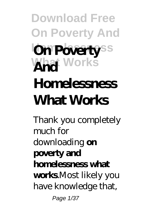## **Download Free On Poverty And In Poverty**ss **What Works And Homelessness What Works**

Thank you completely much for downloading **on poverty and homelessness what works**.Most likely you have knowledge that, Page 1/37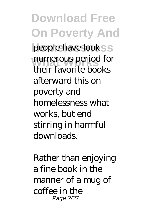**Download Free On Poverty And** people have lookss numerous period for their favorite books afterward this on poverty and homelessness what works, but end stirring in harmful downloads.

Rather than enjoying a fine book in the manner of a mug of coffee in the Page 2/37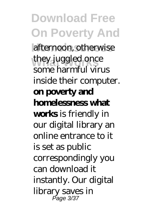**Download Free On Poverty And** afternoon, otherwise they juggled once some harmful virus inside their computer. **on poverty and homelessness what works** is friendly in our digital library an online entrance to it is set as public correspondingly you can download it instantly. Our digital library saves in Page 3/37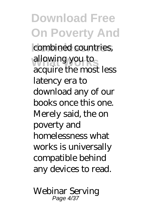**Download Free On Poverty And** combined countries, allowing you to acquire the most less latency era to download any of our books once this one. Merely said, the on poverty and homelessness what works is universally compatible behind any devices to read.

Webinar Serving Page 4/37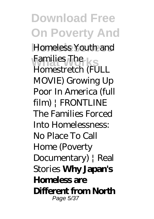**Download Free On Poverty And Homeless Youth and Families** *The*<br>*Homestrately G*<sup>T</sup> *Homestretch (FULL MOVIE) Growing Up Poor In America (full film) | FRONTLINE The Families Forced Into Homelessness: No Place To Call Home (Poverty Documentary) | Real Stories* **Why Japan's Homeless are Different from North** Page 5/37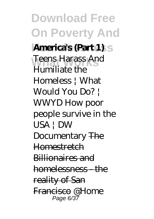**Download Free On Poverty And America's (Part 1)** s Teens Harass And Humiliate the Homeless | What Would You Do? | WWYD *How poor people survive in the USA | DW Documentary* The **Homestretch** Billionaires and homelessness - the reality of San Francisco *@Home* Page 6/37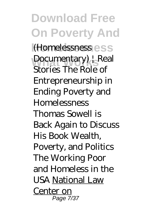**Download Free On Poverty And Homelessness** *(Homelessness* **What Works** *Documentary) | Real Stories The Role of Entrepreneurship in Ending Poverty and Homelessness Thomas Sowell is Back Again to Discuss His Book Wealth, Poverty, and Politics The Working Poor and Homeless in the USA* National Law Center on Page 7/37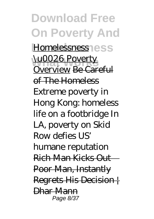**Download Free On Poverty And Homelessness** Homelessness **WOO26 Poverty** Overview Be Careful of The Homeless Extreme poverty in Hong Kong: homeless life on a footbridge *In LA, poverty on Skid Row defies US' humane reputation* Rich Man Kicks Out Poor Man, Instantly Regrets His Decision | Dhar Mann Page 8/37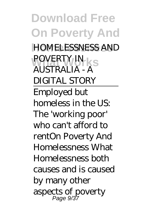**Download Free On Poverty And Homelessness** *HOMELESSNESS AND* **POVERTY IN** *AUSTRALIA - A DIGITAL STORY* Employed but homeless in the US: The 'working poor' who can't afford to rent*On Poverty And Homelessness What* Homelessness both causes and is caused by many other aspects of poverty Page 9/37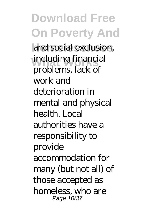**Download Free On Poverty And** and social exclusion, including financial problems, lack of work and deterioration in mental and physical health. Local authorities have a responsibility to provide accommodation for many (but not all) of those accepted as homeless, who are Page 10/37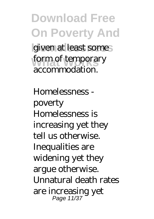**Download Free On Poverty And** given at least somes form of temporary accommodation.

*Homelessness poverty* Homelessness is increasing yet they tell us otherwise. Inequalities are widening yet they argue otherwise. Unnatural death rates are increasing yet Page 11/37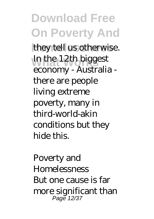**Download Free On Poverty And** they tell us otherwise. In the 12th biggest economy - Australia there are people living extreme poverty, many in third-world-akin conditions but they hide this.

*Poverty and Homelessness* But one cause is far more significant than Page 12/37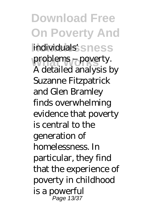**Download Free On Poverty And** individuals'sness problems – poverty. A detailed analysis by Suzanne Fitzpatrick and Glen Bramley finds overwhelming evidence that poverty is central to the generation of homelessness. In particular, they find that the experience of poverty in childhood is a powerful Page 13/37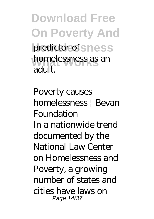**Download Free On Poverty And** predictor of sness **homelessness as an** adult.

*Poverty causes homelessness | Bevan Foundation* In a nationwide trend documented by the National Law Center on Homelessness and Poverty, a growing number of states and cities have laws on Page 14/37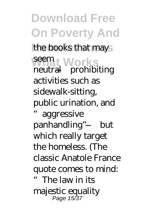**Download Free On Poverty And** the books that mays seem<sub>t</sub> Works neutral—prohibiting activities such as sidewalk-sitting, public urination, and aggressive panhandling"—but

which really target the homeless. (The classic Anatole France quote comes to mind: The law in its majestic equality Page 15/37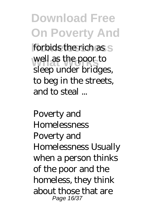**Download Free On Poverty And** forbids the rich as s well as the poor to sleep under bridges, to beg in the streets, and to steal ...

*Poverty and Homelessness* Poverty and Homelessness Usually when a person thinks of the poor and the homeless, they think about those that are Page 16/37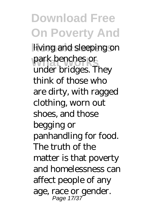**Download Free On Poverty And** living and sleeping on park benches or under bridges. They think of those who are dirty, with ragged clothing, worn out shoes, and those begging or panhandling for food. The truth of the matter is that poverty and homelessness can affect people of any age, race or gender. Page 17/37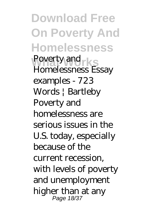**Download Free On Poverty And Homelessness** *Poverty and*  $\mathbf{E} \in \mathbb{R}$ *Homelessness Essay examples - 723 Words | Bartleby* Poverty and homelessness are serious issues in the U.S. today, especially because of the current recession, with levels of poverty and unemployment higher than at any Page 18/37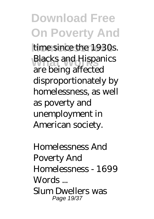## **Download Free On Poverty And** time since the 1930s. **Blacks and Hispanics** are being affected disproportionately by homelessness, as well as poverty and unemployment in American society.

*Homelessness And Poverty And Homelessness - 1699 Words ...* Slum Dwellers was Page 19/37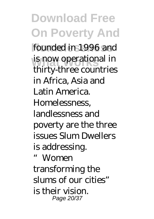**Download Free On Poverty And** founded in 1996 and is now operational in thirty-three countries in Africa, Asia and Latin America. Homelessness, landlessness and poverty are the three issues Slum Dwellers is addressing. Women transforming the slums of our cities" is their vision. Page 20/37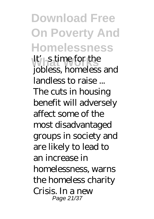**Download Free On Poverty And Homelessness What Works** *It's time for the jobless, homeless and landless to raise ...* The cuts in housing benefit will adversely affect some of the most disadvantaged groups in society and are likely to lead to an increase in homelessness, warns the homeless charity Crisis. In a new Page 21/37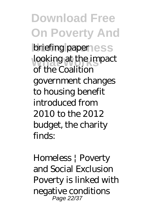**Download Free On Poverty And briefing paper ess** looking at the impact of the Coalition government changes to housing benefit introduced from 2010 to the 2012 budget, the charity finds:

*Homeless | Poverty and Social Exclusion* Poverty is linked with negative conditions Page 22/37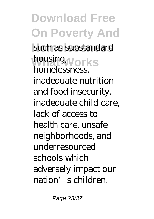**Download Free On Poverty And** such as substandard housing, works homelessness, inadequate nutrition and food insecurity, inadequate child care, lack of access to health care, unsafe neighborhoods, and underresourced schools which adversely impact our nation's children.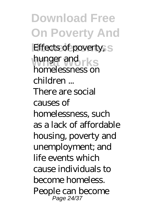**Download Free On Poverty And** *Effects of poverty, hunger and* rks *homelessness on children ...* There are social causes of homelessness, such as a lack of affordable housing, poverty and unemployment; and life events which cause individuals to become homeless. People can become Page 24/37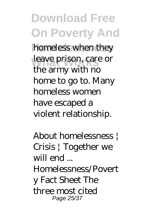**Download Free On Poverty And** homeless when they leave prison, care or the army with no home to go to. Many homeless women have escaped a violent relationship.

*About homelessness | Crisis | Together we will end ...* Homelessness/Povert

y Fact Sheet The three most cited Page 25/37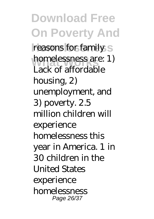**Download Free On Poverty And** reasons for family S homelessness are: 1) Lack of affordable housing, 2) unemployment, and 3) poverty. 2.5 million children will experience homelessness this year in America. 1 in 30 children in the United States experience homelessness Page 26/37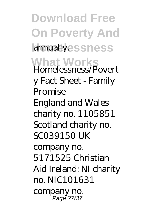**Download Free On Poverty And damually.essness What Works** *Homelessness/Povert y Fact Sheet - Family Promise* England and Wales charity no. 1105851 Scotland charity no. SC039150 UK company no. 5171525 Christian Aid Ireland: NI charity no. NIC101631 company no. Pagĕ 27/37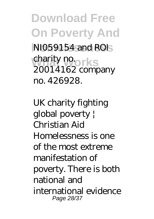**Download Free On Poverty And Homelessness** NI059154 and ROI charity no.<br>
2001 41 Co 20014162 company no. 426928.

*UK charity fighting global poverty | Christian Aid* Homelessness is one of the most extreme manifestation of poverty. There is both national and international evidence Page 28/37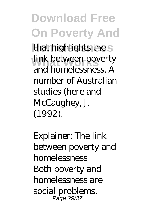**Download Free On Poverty And** that highlights the s link between poverty and homelessness. A number of Australian studies (here and McCaughey, J. (1992).

*Explainer: The link between poverty and homelessness* Both poverty and homelessness are social problems. Page 29/37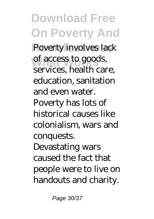**Download Free On Poverty And** Poverty involves lack of access to goods, services, health care, education, sanitation and even water. Poverty has lots of historical causes like colonialism, wars and conquests. Devastating wars caused the fact that people were to live on handouts and charity.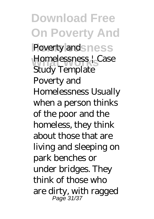**Download Free On Poverty And** *Poverty and* ness **What Works** *Homelessness | Case Study Template* Poverty and Homelessness Usually when a person thinks of the poor and the homeless, they think about those that are living and sleeping on park benches or under bridges. They think of those who are dirty, with ragged Page 31/37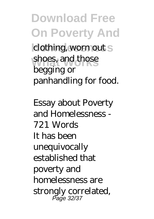## **Download Free On Poverty And klothing, worn out S** shoes, and those begging or panhandling for food.

*Essay about Poverty and Homelessness - 721 Words* It has been unequivocally established that poverty and homelessness are strongly correlated, Page 32/37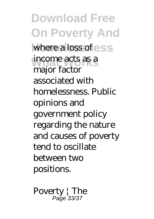**Download Free On Poverty And** where a loss of ess income acts as a major factor associated with homelessness. Public opinions and government policy regarding the nature and causes of poverty tend to oscillate between two positions.

*Poverty | The* Page 33/37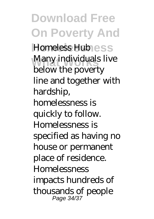**Download Free On Poverty And Homeless Hub**ess Many individuals live below the poverty line and together with hardship, homelessness is quickly to follow. Homelessness is specified as having no house or permanent place of residence. **Homelessness** impacts hundreds of thousands of people Page 34/37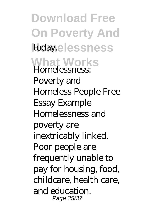**Download Free On Poverty And** today.elessness **What Works** *Homelessness: Poverty and Homeless People Free Essay Example* Homelessness and poverty are inextricably linked. Poor people are frequently unable to pay for housing, food, childcare, health care, and education. Page 35/37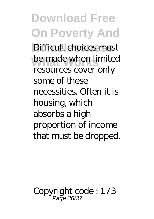**Download Free On Poverty And** Difficult choices must be made when limited resources cover only some of these necessities. Often it is housing, which absorbs a high proportion of income that must be dropped.

Copyright code : 173 Page 36/37